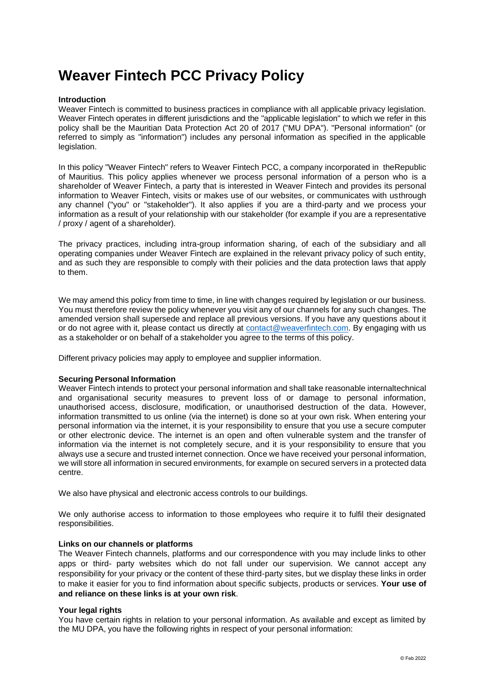# **Weaver Fintech PCC Privacy Policy**

#### **Introduction**

Weaver Fintech is committed to business practices in compliance with all applicable privacy legislation. Weaver Fintech operates in different jurisdictions and the "applicable legislation" to which we refer in this policy shall be the Mauritian Data Protection Act 20 of 2017 ("MU DPA"). "Personal information" (or referred to simply as "information") includes any personal information as specified in the applicable legislation.

In this policy "Weaver Fintech" refers to Weaver Fintech PCC, a company incorporated in theRepublic of Mauritius. This policy applies whenever we process personal information of a person who is a shareholder of Weaver Fintech, a party that is interested in Weaver Fintech and provides its personal information to Weaver Fintech, visits or makes use of our websites, or communicates with usthrough any channel ("you" or "stakeholder"). It also applies if you are a third-party and we process your information as a result of your relationship with our stakeholder (for example if you are a representative / proxy / agent of a shareholder).

The privacy practices, including intra-group information sharing, of each of the subsidiary and all operating companies under Weaver Fintech are explained in the relevant privacy policy of such entity, and as such they are responsible to comply with their policies and the data protection laws that apply to them.

We may amend this policy from time to time, in line with changes required by legislation or our business. You must therefore review the policy whenever you visit any of our channels for any such changes. The amended version shall supersede and replace all previous versions. If you have any questions about it or do not agree with it, please contact us directly at [contact@weaverfintech.com. B](mailto:governance@homechoiceinternational.com)y engaging with us as a stakeholder or on behalf of a stakeholder you agree to the terms of this policy.

Different privacy policies may apply to employee and supplier information.

#### **Securing Personal Information**

Weaver Fintech intends to protect your personal information and shall take reasonable internaltechnical and organisational security measures to prevent loss of or damage to personal information, unauthorised access, disclosure, modification, or unauthorised destruction of the data. However, information transmitted to us online (via the internet) is done so at your own risk. When entering your personal information via the internet, it is your responsibility to ensure that you use a secure computer or other electronic device. The internet is an open and often vulnerable system and the transfer of information via the internet is not completely secure, and it is your responsibility to ensure that you always use a secure and trusted internet connection. Once we have received your personal information, we will store all information in secured environments, for example on secured servers in a protected data centre.

We also have physical and electronic access controls to our buildings.

We only authorise access to information to those employees who require it to fulfil their designated responsibilities.

#### **Links on our channels or platforms**

The Weaver Fintech channels, platforms and our correspondence with you may include links to other apps or third- party websites which do not fall under our supervision. We cannot accept any responsibility for your privacy or the content of these third-party sites, but we display these links in order to make it easier for you to find information about specific subjects, products or services. **Your use of and reliance on these links is at your own risk**.

#### **Your legal rights**

You have certain rights in relation to your personal information. As available and except as limited by the MU DPA, you have the following rights in respect of your personal information: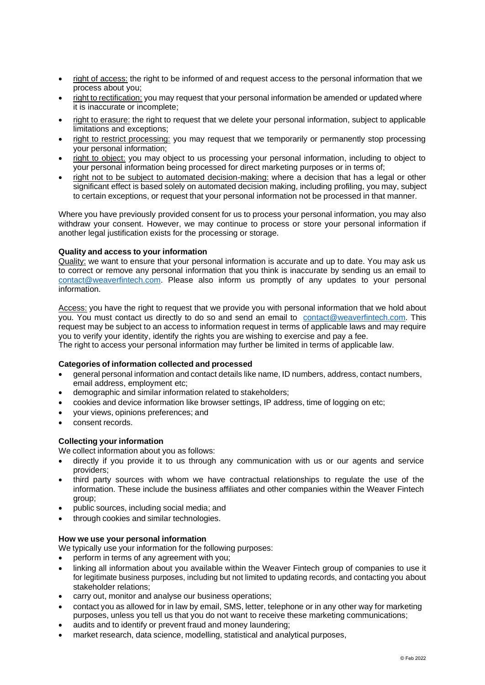- right of access: the right to be informed of and request access to the personal information that we process about you;
- right to rectification: you may request that your personal information be amended or updated where it is inaccurate or incomplete;
- right to erasure: the right to request that we delete your personal information, subject to applicable limitations and exceptions;
- right to restrict processing: you may request that we temporarily or permanently stop processing your personal information;
- right to object: you may object to us processing your personal information, including to object to your personal information being processed for direct marketing purposes or in terms of;
- right not to be subiect to automated decision-making: where a decision that has a legal or other significant effect is based solely on automated decision making, including profiling, you may, subject to certain exceptions, or request that your personal information not be processed in that manner.

Where you have previously provided consent for us to process your personal information, you may also withdraw your consent. However, we may continue to process or store your personal information if another legal justification exists for the processing or storage.

## **Quality and access to your information**

Quality: we want to ensure that your personal information is accurate and up to date. You may ask us to correct or remove any personal information that you think is inaccurate by sending us an email to [contact@weaverfintech.com.](mailto:governance@homechoiceinternational.com) Please also inform us promptly of any updates to your personal information.

Access: you have the right to request that we provide you with personal information that we hold about you. You must contact us directly to do so and send an email to [contact@weaverfintech.com. T](mailto:governance@homechoiceinternational.com)his request may be subject to an access to information request in terms of applicable laws and may require you to verify your identity, identify the rights you are wishing to exercise and pay a fee. The right to access your personal information may further be limited in terms of applicable law.

#### **Categories of information collected and processed**

- general personal information and contact details like name, ID numbers, address, contact numbers, email address, employment etc;
- demographic and similar information related to stakeholders;
- cookies and device information like browser settings, IP address, time of logging on etc;
- your views, opinions preferences; and
- consent records.

## **Collecting your information**

We collect information about you as follows:

- directly if you provide it to us through any communication with us or our agents and service providers;
- third party sources with whom we have contractual relationships to regulate the use of the information. These include the business affiliates and other companies within the Weaver Fintech group;
- public sources, including social media; and
- through cookies and similar technologies.

#### **How we use your personal information**

We typically use your information for the following purposes:

- perform in terms of any agreement with you;
- linking all information about you available within the Weaver Fintech group of companies to use it for legitimate business purposes, including but not limited to updating records, and contacting you about stakeholder relations;
- carry out, monitor and analyse our business operations;
- contact you as allowed for inlaw by email, SMS, letter, telephone or in any other way for marketing purposes, unless you tell us that you do not want to receive these marketing communications;
- audits and to identify or prevent fraud and money laundering;
- market research, data science, modelling, statistical and analytical purposes,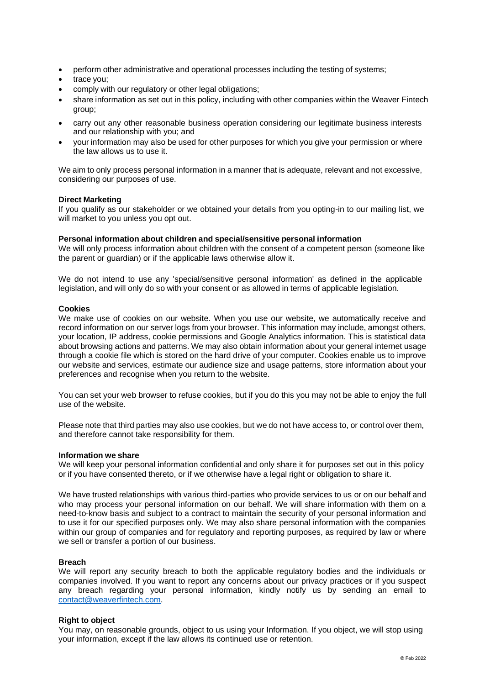- perform other administrative and operational processes including the testing of systems:
- trace you;
- comply with our regulatory or other legal obligations;
- share information as set out in this policy, including with other companies within the Weaver Fintech group;
- carry out any other reasonable business operation considering our legitimate business interests and our relationship with you; and
- your information may also be used for other purposes for which you give your permission or where the law allows us to use it.

We aim to only process personal information in a manner that is adequate, relevant and not excessive, considering our purposes of use.

#### **Direct Marketing**

If you qualify as our stakeholder or we obtained your details from you opting-in to our mailing list, we will market to you unless you opt out.

## **Personal information about children and special/sensitive personal information**

We will only process information about children with the consent of a competent person (someone like the parent or guardian) or if the applicable laws otherwise allow it.

We do not intend to use any 'special/sensitive personal information' as defined in the applicable legislation, and will only do so with your consent or as allowed in terms of applicable legislation.

#### **Cookies**

We make use of cookies on our website. When you use our website, we automatically receive and record information on our server logs from your browser. This information may include, amongst others, your location, IP address, cookie permissions and Google Analytics information. This is statistical data about browsing actions and patterns. We may also obtain information about your general internet usage through a cookie file which is stored on the hard drive of your computer. Cookies enable us to improve our website and services, estimate our audience size and usage patterns, store information about your preferences and recognise when you return to the website.

You can set your web browser to refuse cookies, but if you do this you may not be able to enjoy the full use of the website.

Please note that third parties may also use cookies, but we do not have access to, or control over them, and therefore cannot take responsibility for them.

#### **Information we share**

We will keep your personal information confidential and only share it for purposes set out in this policy or if you have consented thereto, or if we otherwise have a legal right or obligation to share it.

We have trusted relationships with various third-parties who provide services to us or on our behalf and who may process your personal information on our behalf. We will share information with them on a need-to-know basis and subject to a contract to maintain the security of your personal information and to use it for our specified purposes only. We may also share personal information with the companies within our group of companies and for regulatory and reporting purposes, as required by law or where we sell or transfer a portion of our business.

#### **Breach**

We will report any security breach to both the applicable regulatory bodies and the individuals or companies involved. If you want to report any concerns about our privacy practices or if you suspect any breach regarding your personal information, kindly notify us by sending an email to [contact@weaverfintech.com.](mailto:governance@homechoiceinternational.com)

#### **Right to object**

You may, on reasonable grounds, object to us using your Information. If you object, we will stop using your information, except if the law allows its continued use or retention.